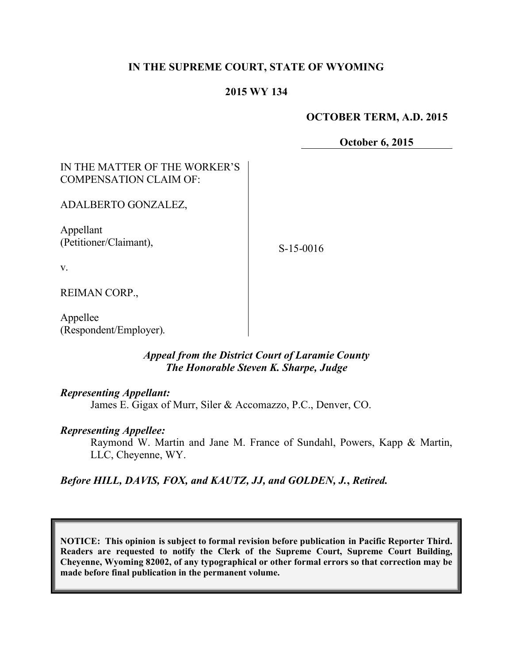# **IN THE SUPREME COURT, STATE OF WYOMING**

# **2015 WY 134**

#### **OCTOBER TERM, A.D. 2015**

**October 6, 2015**

# IN THE MATTER OF THE WORKER'S COMPENSATION CLAIM OF:

ADALBERTO GONZALEZ,

Appellant (Petitioner/Claimant),

S-15-0016

v.

REIMAN CORP.,

Appellee (Respondent/Employer).

#### *Appeal from the District Court of Laramie County The Honorable Steven K. Sharpe, Judge*

#### *Representing Appellant:*

James E. Gigax of Murr, Siler & Accomazzo, P.C., Denver, CO.

#### *Representing Appellee:*

Raymond W. Martin and Jane M. France of Sundahl, Powers, Kapp & Martin, LLC, Cheyenne, WY.

*Before HILL, DAVIS, FOX, and KAUTZ, JJ, and GOLDEN, J.***,** *Retired.*

**NOTICE: This opinion is subject to formal revision before publication in Pacific Reporter Third. Readers are requested to notify the Clerk of the Supreme Court, Supreme Court Building, Cheyenne, Wyoming 82002, of any typographical or other formal errors so that correction may be made before final publication in the permanent volume.**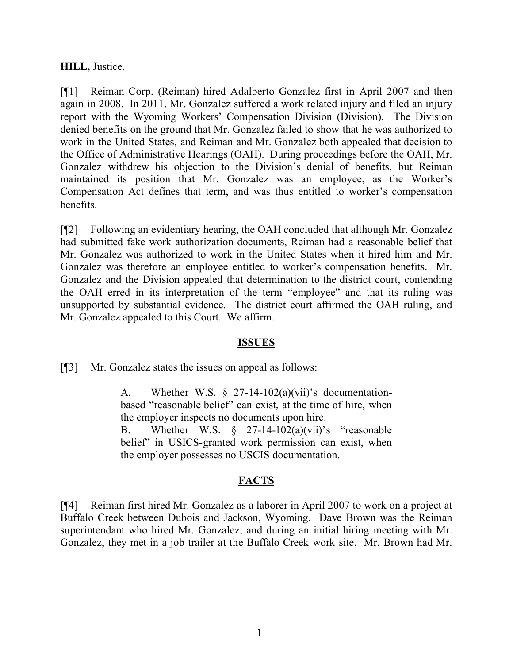#### **HILL,** Justice.

[¶1] Reiman Corp. (Reiman) hired Adalberto Gonzalez first in April 2007 and then again in 2008. In 2011, Mr. Gonzalez suffered a work related injury and filed an injury report with the Wyoming Workers' Compensation Division (Division). The Division denied benefits on the ground that Mr. Gonzalez failed to show that he was authorized to work in the United States, and Reiman and Mr. Gonzalez both appealed that decision to the Office of Administrative Hearings (OAH). During proceedings before the OAH, Mr. Gonzalez withdrew his objection to the Division's denial of benefits, but Reiman maintained its position that Mr. Gonzalez was an employee, as the Worker's Compensation Act defines that term, and was thus entitled to worker's compensation benefits.

[¶2] Following an evidentiary hearing, the OAH concluded that although Mr. Gonzalez had submitted fake work authorization documents, Reiman had a reasonable belief that Mr. Gonzalez was authorized to work in the United States when it hired him and Mr. Gonzalez was therefore an employee entitled to worker's compensation benefits. Mr. Gonzalez and the Division appealed that determination to the district court, contending the OAH erred in its interpretation of the term "employee" and that its ruling was unsupported by substantial evidence. The district court affirmed the OAH ruling, and Mr. Gonzalez appealed to this Court. We affirm.

# **ISSUES**

[¶3] Mr. Gonzalez states the issues on appeal as follows:

A. Whether W.S.  $\S$  27-14-102(a)(vii)'s documentationbased "reasonable belief" can exist, at the time of hire, when the employer inspects no documents upon hire. B. Whether W.S.  $\S$  27-14-102(a)(vii)'s "reasonable

belief" in USICS-granted work permission can exist, when the employer possesses no USCIS documentation.

# **FACTS**

[¶4] Reiman first hired Mr. Gonzalez as a laborer in April 2007 to work on a project at Buffalo Creek between Dubois and Jackson, Wyoming. Dave Brown was the Reiman superintendant who hired Mr. Gonzalez, and during an initial hiring meeting with Mr. Gonzalez, they met in a job trailer at the Buffalo Creek work site. Mr. Brown had Mr.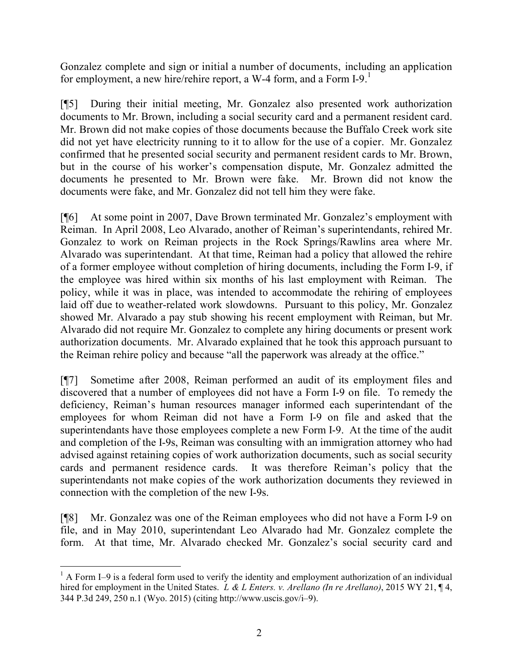Gonzalez complete and sign or initial a number of documents, including an application for employment, a new hire/rehire report, a W-4 form, and a Form  $I-9$ .

[¶5] During their initial meeting, Mr. Gonzalez also presented work authorization documents to Mr. Brown, including a social security card and a permanent resident card. Mr. Brown did not make copies of those documents because the Buffalo Creek work site did not yet have electricity running to it to allow for the use of a copier. Mr. Gonzalez confirmed that he presented social security and permanent resident cards to Mr. Brown, but in the course of his worker's compensation dispute, Mr. Gonzalez admitted the documents he presented to Mr. Brown were fake. Mr. Brown did not know the documents were fake, and Mr. Gonzalez did not tell him they were fake.

[¶6] At some point in 2007, Dave Brown terminated Mr. Gonzalez's employment with Reiman. In April 2008, Leo Alvarado, another of Reiman's superintendants, rehired Mr. Gonzalez to work on Reiman projects in the Rock Springs/Rawlins area where Mr. Alvarado was superintendant. At that time, Reiman had a policy that allowed the rehire of a former employee without completion of hiring documents, including the Form I-9, if the employee was hired within six months of his last employment with Reiman. The policy, while it was in place, was intended to accommodate the rehiring of employees laid off due to weather-related work slowdowns. Pursuant to this policy, Mr. Gonzalez showed Mr. Alvarado a pay stub showing his recent employment with Reiman, but Mr. Alvarado did not require Mr. Gonzalez to complete any hiring documents or present work authorization documents. Mr. Alvarado explained that he took this approach pursuant to the Reiman rehire policy and because "all the paperwork was already at the office."

[¶7] Sometime after 2008, Reiman performed an audit of its employment files and discovered that a number of employees did not have a Form I-9 on file. To remedy the deficiency, Reiman's human resources manager informed each superintendant of the employees for whom Reiman did not have a Form I-9 on file and asked that the superintendants have those employees complete a new Form I-9. At the time of the audit and completion of the I-9s, Reiman was consulting with an immigration attorney who had advised against retaining copies of work authorization documents, such as social security cards and permanent residence cards. It was therefore Reiman's policy that the superintendants not make copies of the work authorization documents they reviewed in connection with the completion of the new I-9s.

[¶8] Mr. Gonzalez was one of the Reiman employees who did not have a Form I-9 on file, and in May 2010, superintendant Leo Alvarado had Mr. Gonzalez complete the form. At that time, Mr. Alvarado checked Mr. Gonzalez's social security card and

  $1$  A Form I–9 is a federal form used to verify the identity and employment authorization of an individual hired for employment in the United States. *L & L Enters. v. Arellano (In re Arellano)*, 2015 WY 21, ¶ 4, 344 P.3d 249, 250 n.1 (Wyo. 2015) (citing http://www.uscis.gov/i–9).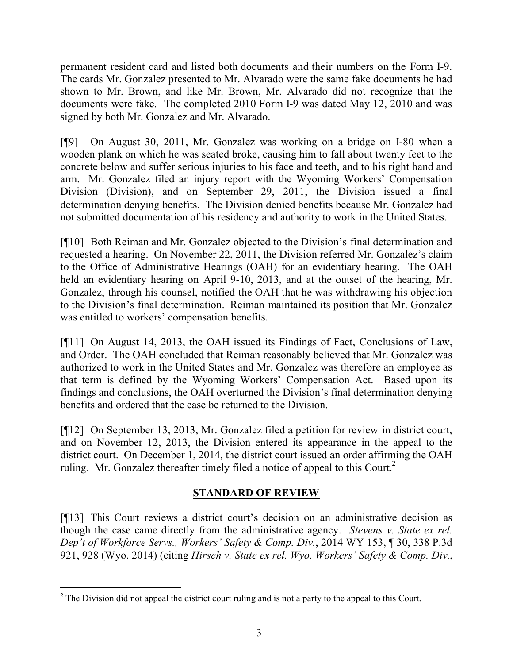permanent resident card and listed both documents and their numbers on the Form I-9. The cards Mr. Gonzalez presented to Mr. Alvarado were the same fake documents he had shown to Mr. Brown, and like Mr. Brown, Mr. Alvarado did not recognize that the documents were fake. The completed 2010 Form I-9 was dated May 12, 2010 and was signed by both Mr. Gonzalez and Mr. Alvarado.

[¶9] On August 30, 2011, Mr. Gonzalez was working on a bridge on I-80 when a wooden plank on which he was seated broke, causing him to fall about twenty feet to the concrete below and suffer serious injuries to his face and teeth, and to his right hand and arm. Mr. Gonzalez filed an injury report with the Wyoming Workers' Compensation Division (Division), and on September 29, 2011, the Division issued a final determination denying benefits. The Division denied benefits because Mr. Gonzalez had not submitted documentation of his residency and authority to work in the United States.

[¶10] Both Reiman and Mr. Gonzalez objected to the Division's final determination and requested a hearing. On November 22, 2011, the Division referred Mr. Gonzalez's claim to the Office of Administrative Hearings (OAH) for an evidentiary hearing. The OAH held an evidentiary hearing on April 9-10, 2013, and at the outset of the hearing, Mr. Gonzalez, through his counsel, notified the OAH that he was withdrawing his objection to the Division's final determination. Reiman maintained its position that Mr. Gonzalez was entitled to workers' compensation benefits.

[¶11] On August 14, 2013, the OAH issued its Findings of Fact, Conclusions of Law, and Order. The OAH concluded that Reiman reasonably believed that Mr. Gonzalez was authorized to work in the United States and Mr. Gonzalez was therefore an employee as that term is defined by the Wyoming Workers' Compensation Act. Based upon its findings and conclusions, the OAH overturned the Division's final determination denying benefits and ordered that the case be returned to the Division.

[¶12] On September 13, 2013, Mr. Gonzalez filed a petition for review in district court, and on November 12, 2013, the Division entered its appearance in the appeal to the district court. On December 1, 2014, the district court issued an order affirming the OAH ruling. Mr. Gonzalez thereafter timely filed a notice of appeal to this Court.<sup>2</sup>

# **STANDARD OF REVIEW**

[¶13] This Court reviews a district court's decision on an administrative decision as though the case came directly from the administrative agency. *Stevens v. State ex rel. Dep't of Workforce Servs., Workers' Safety & Comp. Div.*, 2014 WY 153, ¶ 30, 338 P.3d 921, 928 (Wyo. 2014) (citing *Hirsch v. State ex rel. Wyo. Workers' Safety & Comp. Div.*,

 $\overline{a}$ <sup>2</sup> The Division did not appeal the district court ruling and is not a party to the appeal to this Court.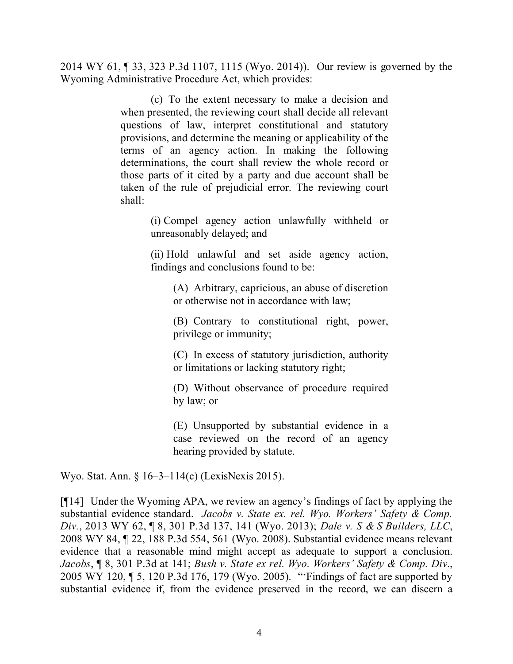2014 WY 61, ¶ 33, 323 P.3d 1107, 1115 (Wyo. 2014)). Our review is governed by the Wyoming Administrative Procedure Act, which provides:

> (c) To the extent necessary to make a decision and when presented, the reviewing court shall decide all relevant questions of law, interpret constitutional and statutory provisions, and determine the meaning or applicability of the terms of an agency action. In making the following determinations, the court shall review the whole record or those parts of it cited by a party and due account shall be taken of the rule of prejudicial error. The reviewing court shall:

> > (i) Compel agency action unlawfully withheld or unreasonably delayed; and

> > (ii) Hold unlawful and set aside agency action, findings and conclusions found to be:

(A) Arbitrary, capricious, an abuse of discretion or otherwise not in accordance with law;

(B) Contrary to constitutional right, power, privilege or immunity;

(C) In excess of statutory jurisdiction, authority or limitations or lacking statutory right;

(D) Without observance of procedure required by law; or

(E) Unsupported by substantial evidence in a case reviewed on the record of an agency hearing provided by statute.

Wyo. Stat. Ann. § 16–3–114(c) (LexisNexis 2015).

[¶14] Under the Wyoming APA, we review an agency's findings of fact by applying the substantial evidence standard. *Jacobs v. State ex. rel. Wyo. Workers' Safety & Comp. Div.*, 2013 WY 62, ¶ 8, 301 P.3d 137, 141 (Wyo. 2013); *Dale v. S & S Builders, LLC*, 2008 WY 84, ¶ 22, 188 P.3d 554, 561 (Wyo. 2008). Substantial evidence means relevant evidence that a reasonable mind might accept as adequate to support a conclusion. *Jacobs*, ¶ 8, 301 P.3d at 141; *Bush v. State ex rel. Wyo. Workers' Safety & Comp. Div.*, 2005 WY 120, ¶ 5, 120 P.3d 176, 179 (Wyo. 2005). "'Findings of fact are supported by substantial evidence if, from the evidence preserved in the record, we can discern a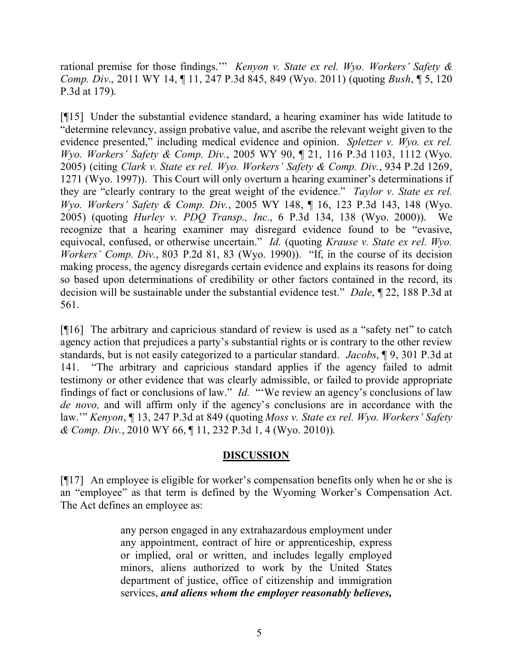rational premise for those findings.'" *Kenyon v. State ex rel. Wyo. Workers' Safety & Comp. Div*., 2011 WY 14, ¶ 11, 247 P.3d 845, 849 (Wyo. 2011) (quoting *Bush*, ¶ 5, 120 P.3d at 179).

[¶15] Under the substantial evidence standard, a hearing examiner has wide latitude to "determine relevancy, assign probative value, and ascribe the relevant weight given to the evidence presented," including medical evidence and opinion. *Spletzer v. Wyo. ex rel. Wyo. Workers' Safety & Comp. Div.*, 2005 WY 90, ¶ 21, 116 P.3d 1103, 1112 (Wyo. 2005) (citing *Clark v. State ex rel. Wyo. Workers' Safety & Comp. Div.*, 934 P.2d 1269, 1271 (Wyo. 1997)). This Court will only overturn a hearing examiner's determinations if they are "clearly contrary to the great weight of the evidence." *Taylor v. State ex rel. Wyo. Workers' Safety & Comp. Div.*, 2005 WY 148, ¶ 16, 123 P.3d 143, 148 (Wyo. 2005) (quoting *Hurley v. PDQ Transp., Inc.*, 6 P.3d 134, 138 (Wyo. 2000)). We recognize that a hearing examiner may disregard evidence found to be "evasive, equivocal, confused, or otherwise uncertain." *Id.* (quoting *Krause v. State ex rel. Wyo. Workers' Comp. Div.*, 803 P.2d 81, 83 (Wyo. 1990)). "If, in the course of its decision making process, the agency disregards certain evidence and explains its reasons for doing so based upon determinations of credibility or other factors contained in the record, its decision will be sustainable under the substantial evidence test." *Dale*, ¶ 22, 188 P.3d at 561.

[¶16] The arbitrary and capricious standard of review is used as a "safety net" to catch agency action that prejudices a party's substantial rights or is contrary to the other review standards, but is not easily categorized to a particular standard. *Jacobs*, ¶ 9, 301 P.3d at 141. "The arbitrary and capricious standard applies if the agency failed to admit testimony or other evidence that was clearly admissible, or failed to provide appropriate findings of fact or conclusions of law." *Id.* "'We review an agency's conclusions of law *de novo,* and will affirm only if the agency's conclusions are in accordance with the law.'" *Kenyon*, ¶ 13, 247 P.3d at 849 (quoting *Moss v. State ex rel. Wyo. Workers' Safety & Comp. Div.*, 2010 WY 66, ¶ 11, 232 P.3d 1, 4 (Wyo. 2010)).

# **DISCUSSION**

[¶17] An employee is eligible for worker's compensation benefits only when he or she is an "employee" as that term is defined by the Wyoming Worker's Compensation Act. The Act defines an employee as:

> any person engaged in any extrahazardous employment under any appointment, contract of hire or apprenticeship, express or implied, oral or written, and includes legally employed minors, aliens authorized to work by the United States department of justice, office of citizenship and immigration services, *and aliens whom the employer reasonably believes,*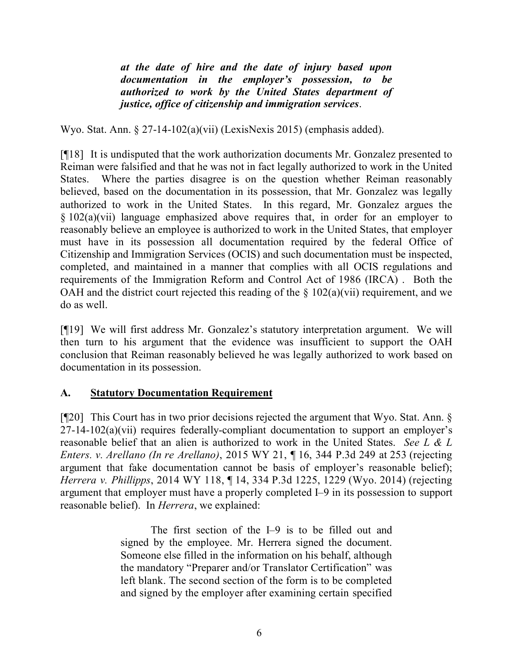*at the date of hire and the date of injury based upon documentation in the employer's possession, to be authorized to work by the United States department of justice, office of citizenship and immigration services*.

Wyo. Stat. Ann. § 27-14-102(a)(vii) (LexisNexis 2015) (emphasis added).

[¶18] It is undisputed that the work authorization documents Mr. Gonzalez presented to Reiman were falsified and that he was not in fact legally authorized to work in the United States. Where the parties disagree is on the question whether Reiman reasonably believed, based on the documentation in its possession, that Mr. Gonzalez was legally authorized to work in the United States. In this regard, Mr. Gonzalez argues the § 102(a)(vii) language emphasized above requires that, in order for an employer to reasonably believe an employee is authorized to work in the United States, that employer must have in its possession all documentation required by the federal Office of Citizenship and Immigration Services (OCIS) and such documentation must be inspected, completed, and maintained in a manner that complies with all OCIS regulations and requirements of the Immigration Reform and Control Act of 1986 (IRCA) . Both the OAH and the district court rejected this reading of the  $\S$  102(a)(vii) requirement, and we do as well.

[¶19] We will first address Mr. Gonzalez's statutory interpretation argument. We will then turn to his argument that the evidence was insufficient to support the OAH conclusion that Reiman reasonably believed he was legally authorized to work based on documentation in its possession.

# **A. Statutory Documentation Requirement**

[¶20] This Court has in two prior decisions rejected the argument that Wyo. Stat. Ann. §  $27-14-102(a)(vii)$  requires federally-compliant documentation to support an employer's reasonable belief that an alien is authorized to work in the United States. *See L & L Enters. v. Arellano (In re Arellano)*, 2015 WY 21, ¶ 16, 344 P.3d 249 at 253 (rejecting argument that fake documentation cannot be basis of employer's reasonable belief); *Herrera v. Phillipps*, 2014 WY 118, ¶ 14, 334 P.3d 1225, 1229 (Wyo. 2014) (rejecting argument that employer must have a properly completed I–9 in its possession to support reasonable belief). In *Herrera*, we explained:

> The first section of the I–9 is to be filled out and signed by the employee. Mr. Herrera signed the document. Someone else filled in the information on his behalf, although the mandatory "Preparer and/or Translator Certification" was left blank. The second section of the form is to be completed and signed by the employer after examining certain specified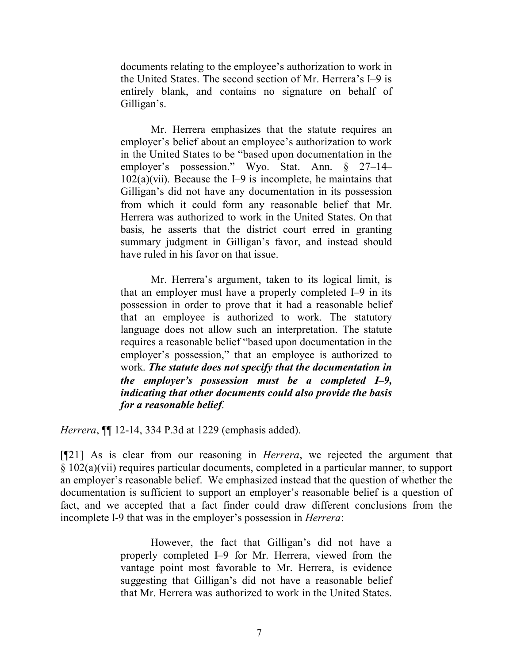documents relating to the employee's authorization to work in the United States. The second section of Mr. Herrera's I–9 is entirely blank, and contains no signature on behalf of Gilligan's.

Mr. Herrera emphasizes that the statute requires an employer's belief about an employee's authorization to work in the United States to be "based upon documentation in the employer's possession." Wyo. Stat. Ann. § 27–14–  $102(a)(vii)$ . Because the I-9 is incomplete, he maintains that Gilligan's did not have any documentation in its possession from which it could form any reasonable belief that Mr. Herrera was authorized to work in the United States. On that basis, he asserts that the district court erred in granting summary judgment in Gilligan's favor, and instead should have ruled in his favor on that issue.

Mr. Herrera's argument, taken to its logical limit, is that an employer must have a properly completed I–9 in its possession in order to prove that it had a reasonable belief that an employee is authorized to work. The statutory language does not allow such an interpretation. The statute requires a reasonable belief "based upon documentation in the employer's possession," that an employee is authorized to work. *The statute does not specify that the documentation in the employer's possession must be a completed I–9, indicating that other documents could also provide the basis for a reasonable belief*.

*Herrera*, ¶¶ 12-14, 334 P.3d at 1229 (emphasis added).

[¶21] As is clear from our reasoning in *Herrera*, we rejected the argument that § 102(a)(vii) requires particular documents, completed in a particular manner, to support an employer's reasonable belief. We emphasized instead that the question of whether the documentation is sufficient to support an employer's reasonable belief is a question of fact, and we accepted that a fact finder could draw different conclusions from the incomplete I-9 that was in the employer's possession in *Herrera*:

> However, the fact that Gilligan's did not have a properly completed I–9 for Mr. Herrera, viewed from the vantage point most favorable to Mr. Herrera, is evidence suggesting that Gilligan's did not have a reasonable belief that Mr. Herrera was authorized to work in the United States.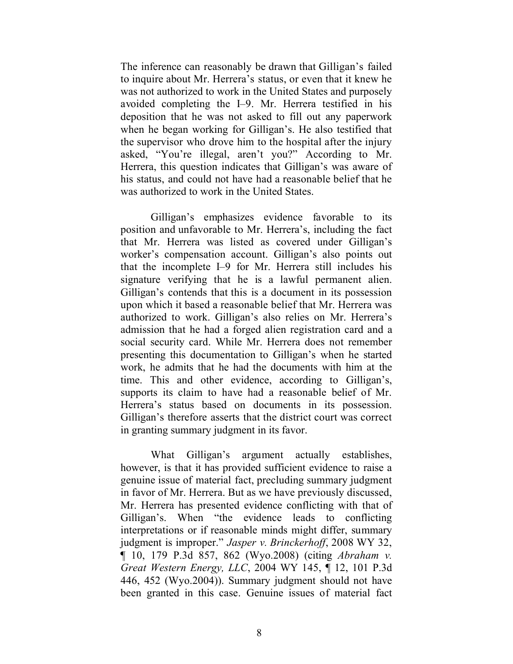The inference can reasonably be drawn that Gilligan's failed to inquire about Mr. Herrera's status, or even that it knew he was not authorized to work in the United States and purposely avoided completing the I–9. Mr. Herrera testified in his deposition that he was not asked to fill out any paperwork when he began working for Gilligan's. He also testified that the supervisor who drove him to the hospital after the injury asked, "You're illegal, aren't you?" According to Mr. Herrera, this question indicates that Gilligan's was aware of his status, and could not have had a reasonable belief that he was authorized to work in the United States.

Gilligan's emphasizes evidence favorable to its position and unfavorable to Mr. Herrera's, including the fact that Mr. Herrera was listed as covered under Gilligan's worker's compensation account. Gilligan's also points out that the incomplete I–9 for Mr. Herrera still includes his signature verifying that he is a lawful permanent alien. Gilligan's contends that this is a document in its possession upon which it based a reasonable belief that Mr. Herrera was authorized to work. Gilligan's also relies on Mr. Herrera's admission that he had a forged alien registration card and a social security card. While Mr. Herrera does not remember presenting this documentation to Gilligan's when he started work, he admits that he had the documents with him at the time. This and other evidence, according to Gilligan's, supports its claim to have had a reasonable belief of Mr. Herrera's status based on documents in its possession. Gilligan's therefore asserts that the district court was correct in granting summary judgment in its favor.

What Gilligan's argument actually establishes, however, is that it has provided sufficient evidence to raise a genuine issue of material fact, precluding summary judgment in favor of Mr. Herrera. But as we have previously discussed, Mr. Herrera has presented evidence conflicting with that of Gilligan's. When "the evidence leads to conflicting interpretations or if reasonable minds might differ, summary judgment is improper." *Jasper v. Brinckerhoff*, 2008 WY 32, ¶ 10, 179 P.3d 857, 862 (Wyo.2008) (citing *Abraham v. Great Western Energy, LLC*, 2004 WY 145, ¶ 12, 101 P.3d 446, 452 (Wyo.2004)). Summary judgment should not have been granted in this case. Genuine issues of material fact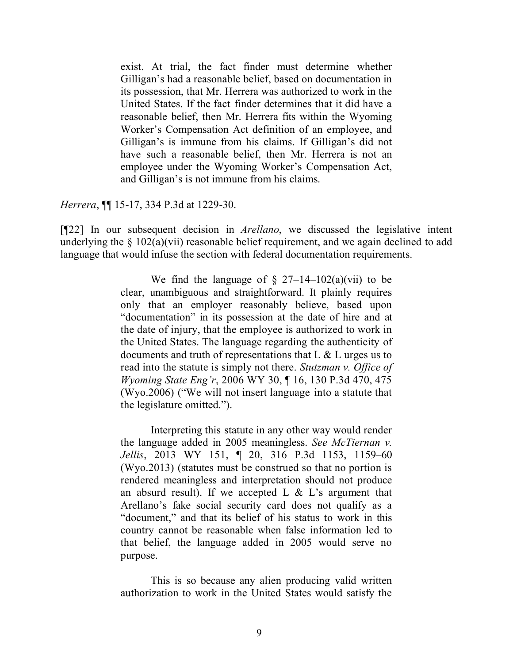exist. At trial, the fact finder must determine whether Gilligan's had a reasonable belief, based on documentation in its possession, that Mr. Herrera was authorized to work in the United States. If the fact finder determines that it did have a reasonable belief, then Mr. Herrera fits within the Wyoming Worker's Compensation Act definition of an employee, and Gilligan's is immune from his claims. If Gilligan's did not have such a reasonable belief, then Mr. Herrera is not an employee under the Wyoming Worker's Compensation Act, and Gilligan's is not immune from his claims.

*Herrera*, ¶¶ 15-17, 334 P.3d at 1229-30.

[¶22] In our subsequent decision in *Arellano*, we discussed the legislative intent underlying the  $\S$  102(a)(vii) reasonable belief requirement, and we again declined to add language that would infuse the section with federal documentation requirements.

> We find the language of  $\S$  27–14–102(a)(vii) to be clear, unambiguous and straightforward. It plainly requires only that an employer reasonably believe, based upon "documentation" in its possession at the date of hire and at the date of injury, that the employee is authorized to work in the United States. The language regarding the authenticity of documents and truth of representations that  $L \& L$  urges us to read into the statute is simply not there. *Stutzman v. Office of Wyoming State Eng'r*, 2006 WY 30, ¶ 16, 130 P.3d 470, 475 (Wyo.2006) ("We will not insert language into a statute that the legislature omitted.").

> Interpreting this statute in any other way would render the language added in 2005 meaningless. *See McTiernan v. Jellis*, 2013 WY 151, ¶ 20, 316 P.3d 1153, 1159–60 (Wyo.2013) (statutes must be construed so that no portion is rendered meaningless and interpretation should not produce an absurd result). If we accepted L  $&$  L's argument that Arellano's fake social security card does not qualify as a "document," and that its belief of his status to work in this country cannot be reasonable when false information led to that belief, the language added in 2005 would serve no purpose.

> This is so because any alien producing valid written authorization to work in the United States would satisfy the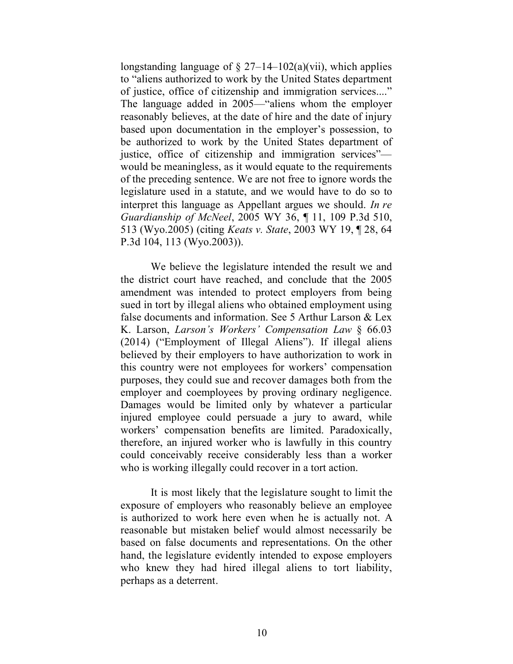longstanding language of  $\S 27-14-102(a)(vii)$ , which applies to "aliens authorized to work by the United States department of justice, office of citizenship and immigration services...." The language added in 2005—"aliens whom the employer reasonably believes, at the date of hire and the date of injury based upon documentation in the employer's possession, to be authorized to work by the United States department of justice, office of citizenship and immigration services" would be meaningless, as it would equate to the requirements of the preceding sentence. We are not free to ignore words the legislature used in a statute, and we would have to do so to interpret this language as Appellant argues we should. *In re Guardianship of McNeel*, 2005 WY 36, ¶ 11, 109 P.3d 510, 513 (Wyo.2005) (citing *Keats v. State*, 2003 WY 19, ¶ 28, 64 P.3d 104, 113 (Wyo.2003)).

We believe the legislature intended the result we and the district court have reached, and conclude that the 2005 amendment was intended to protect employers from being sued in tort by illegal aliens who obtained employment using false documents and information. See 5 Arthur Larson & Lex K. Larson, *Larson's Workers' Compensation Law* § 66.03 (2014) ("Employment of Illegal Aliens"). If illegal aliens believed by their employers to have authorization to work in this country were not employees for workers' compensation purposes, they could sue and recover damages both from the employer and coemployees by proving ordinary negligence. Damages would be limited only by whatever a particular injured employee could persuade a jury to award, while workers' compensation benefits are limited. Paradoxically, therefore, an injured worker who is lawfully in this country could conceivably receive considerably less than a worker who is working illegally could recover in a tort action.

It is most likely that the legislature sought to limit the exposure of employers who reasonably believe an employee is authorized to work here even when he is actually not. A reasonable but mistaken belief would almost necessarily be based on false documents and representations. On the other hand, the legislature evidently intended to expose employers who knew they had hired illegal aliens to tort liability, perhaps as a deterrent.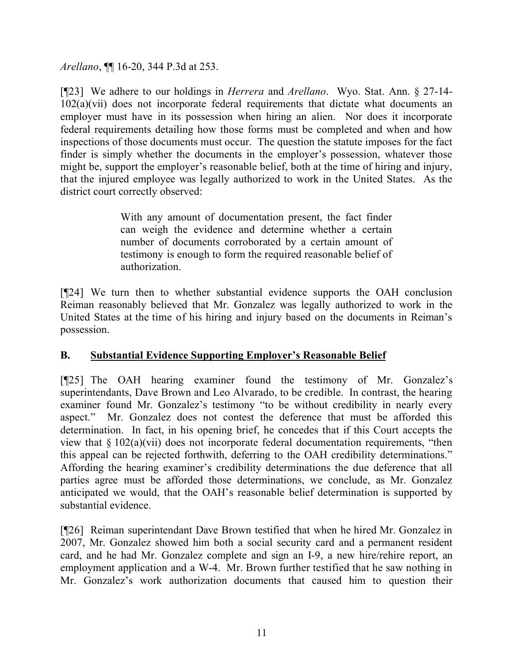*Arellano*, ¶¶ 16-20, 344 P.3d at 253.

[¶23] We adhere to our holdings in *Herrera* and *Arellano*. Wyo. Stat. Ann. § 27-14- 102(a)(vii) does not incorporate federal requirements that dictate what documents an employer must have in its possession when hiring an alien. Nor does it incorporate federal requirements detailing how those forms must be completed and when and how inspections of those documents must occur. The question the statute imposes for the fact finder is simply whether the documents in the employer's possession, whatever those might be, support the employer's reasonable belief, both at the time of hiring and injury, that the injured employee was legally authorized to work in the United States. As the district court correctly observed:

> With any amount of documentation present, the fact finder can weigh the evidence and determine whether a certain number of documents corroborated by a certain amount of testimony is enough to form the required reasonable belief of authorization.

[¶24] We turn then to whether substantial evidence supports the OAH conclusion Reiman reasonably believed that Mr. Gonzalez was legally authorized to work in the United States at the time of his hiring and injury based on the documents in Reiman's possession.

# **B. Substantial Evidence Supporting Employer's Reasonable Belief**

[¶25] The OAH hearing examiner found the testimony of Mr. Gonzalez's superintendants, Dave Brown and Leo Alvarado, to be credible. In contrast, the hearing examiner found Mr. Gonzalez's testimony "to be without credibility in nearly every aspect." Mr. Gonzalez does not contest the deference that must be afforded this determination. In fact, in his opening brief, he concedes that if this Court accepts the view that § 102(a)(vii) does not incorporate federal documentation requirements, "then this appeal can be rejected forthwith, deferring to the OAH credibility determinations." Affording the hearing examiner's credibility determinations the due deference that all parties agree must be afforded those determinations, we conclude, as Mr. Gonzalez anticipated we would, that the OAH's reasonable belief determination is supported by substantial evidence.

[¶26] Reiman superintendant Dave Brown testified that when he hired Mr. Gonzalez in 2007, Mr. Gonzalez showed him both a social security card and a permanent resident card, and he had Mr. Gonzalez complete and sign an I-9, a new hire/rehire report, an employment application and a W-4. Mr. Brown further testified that he saw nothing in Mr. Gonzalez's work authorization documents that caused him to question their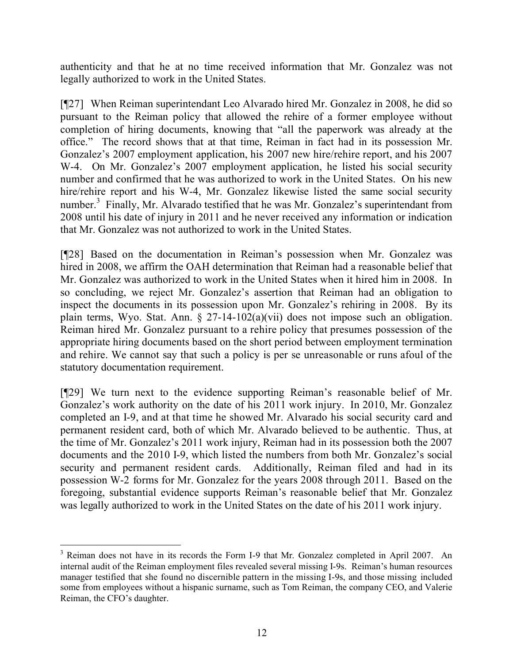authenticity and that he at no time received information that Mr. Gonzalez was not legally authorized to work in the United States.

[¶27] When Reiman superintendant Leo Alvarado hired Mr. Gonzalez in 2008, he did so pursuant to the Reiman policy that allowed the rehire of a former employee without completion of hiring documents, knowing that "all the paperwork was already at the office." The record shows that at that time, Reiman in fact had in its possession Mr. Gonzalez's 2007 employment application, his 2007 new hire/rehire report, and his 2007 W-4. On Mr. Gonzalez's 2007 employment application, he listed his social security number and confirmed that he was authorized to work in the United States. On his new hire/rehire report and his W-4, Mr. Gonzalez likewise listed the same social security number.<sup>3</sup> Finally, Mr. Alvarado testified that he was Mr. Gonzalez's superintendant from 2008 until his date of injury in 2011 and he never received any information or indication that Mr. Gonzalez was not authorized to work in the United States.

[¶28] Based on the documentation in Reiman's possession when Mr. Gonzalez was hired in 2008, we affirm the OAH determination that Reiman had a reasonable belief that Mr. Gonzalez was authorized to work in the United States when it hired him in 2008. In so concluding, we reject Mr. Gonzalez's assertion that Reiman had an obligation to inspect the documents in its possession upon Mr. Gonzalez's rehiring in 2008. By its plain terms, Wyo. Stat. Ann. § 27-14-102(a)(vii) does not impose such an obligation. Reiman hired Mr. Gonzalez pursuant to a rehire policy that presumes possession of the appropriate hiring documents based on the short period between employment termination and rehire. We cannot say that such a policy is per se unreasonable or runs afoul of the statutory documentation requirement.

[¶29] We turn next to the evidence supporting Reiman's reasonable belief of Mr. Gonzalez's work authority on the date of his 2011 work injury. In 2010, Mr. Gonzalez completed an I-9, and at that time he showed Mr. Alvarado his social security card and permanent resident card, both of which Mr. Alvarado believed to be authentic. Thus, at the time of Mr. Gonzalez's 2011 work injury, Reiman had in its possession both the 2007 documents and the 2010 I-9, which listed the numbers from both Mr. Gonzalez's social security and permanent resident cards. Additionally, Reiman filed and had in its possession W-2 forms for Mr. Gonzalez for the years 2008 through 2011. Based on the foregoing, substantial evidence supports Reiman's reasonable belief that Mr. Gonzalez was legally authorized to work in the United States on the date of his 2011 work injury.

<sup>&</sup>lt;sup>3</sup> Reiman does not have in its records the Form I-9 that Mr. Gonzalez completed in April 2007. An internal audit of the Reiman employment files revealed several missing I-9s. Reiman's human resources manager testified that she found no discernible pattern in the missing I-9s, and those missing included some from employees without a hispanic surname, such as Tom Reiman, the company CEO, and Valerie Reiman, the CFO's daughter.